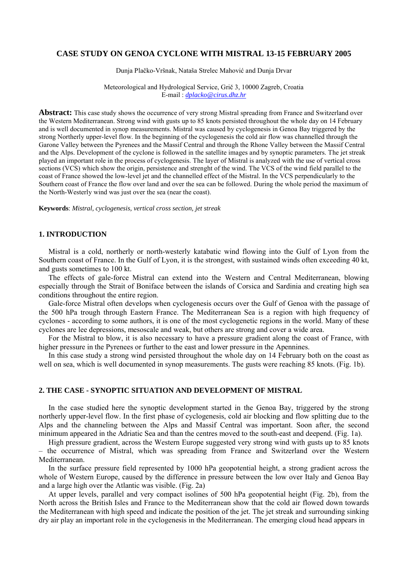### **CASE STUDY ON GENOA CYCLONE WITH MISTRAL 13-15 FEBRUARY 2005**

Dunja Plačko-Vršnak, Nataša Strelec Mahović and Dunja Drvar

Meteorological and Hydrological Service, Grič 3, 10000 Zagreb, Croatia E-mail : *dplacko@cirus.dhz.hr*

**Abstract:** This case study shows the occurrence of very strong Mistral spreading from France and Switzerland over the Western Mediterranean. Strong wind with gusts up to 85 knots persisted throughout the whole day on 14 February and is well documented in synop measurements. Mistral was caused by cyclogenesis in Genoa Bay triggered by the strong Northerly upper-level flow. In the beginning of the cyclogenesis the cold air flow was channelled through the Garone Valley between the Pyrenees and the Massif Central and through the Rhone Valley between the Massif Central and the Alps. Development of the cyclone is followed in the satellite images and by synoptic parameters. The jet streak played an important role in the process of cyclogenesis. The layer of Mistral is analyzed with the use of vertical cross sections (VCS) which show the origin, persistence and strenght of the wind. The VCS of the wind field parallel to the coast of France showed the low-level jet and the channelled effect of the Mistral. In the VCS perpendicularly to the Southern coast of France the flow over land and over the sea can be followed. During the whole period the maximum of the North-Westerly wind was just over the sea (near the coast).

**Keywords**: *Mistral, cyclogenesis, vertical cross section, jet streak*

#### **1. INTRODUCTION**

Mistral is a cold, northerly or north-westerly katabatic wind flowing into the Gulf of Lyon from the Southern coast of France. In the Gulf of Lyon, it is the strongest, with sustained winds often exceeding 40 kt, and gusts sometimes to 100 kt.

The effects of gale-force Mistral can extend into the Western and Central Mediterranean, blowing especially through the Strait of Boniface between the islands of Corsica and Sardinia and creating high sea conditions throughout the entire region.

Gale-force Mistral often develops when cyclogenesis occurs over the Gulf of Genoa with the passage of the 500 hPa trough through Eastern France. The Mediterranean Sea is a region with high frequency of cyclones - according to some authors, it is one of the most cyclogenetic regions in the world. Many of these cyclones are lee depressions, mesoscale and weak, but others are strong and cover a wide area.

For the Mistral to blow, it is also necessary to have a pressure gradient along the coast of France, with higher pressure in the Pyrenees or further to the east and lower pressure in the Apennines.

In this case study a strong wind persisted throughout the whole day on 14 February both on the coast as well on sea, which is well documented in synop measurements. The gusts were reaching 85 knots. (Fig. 1b).

### **2. THE CASE - SYNOPTIC SITUATION AND DEVELOPMENT OF MISTRAL**

In the case studied here the synoptic development started in the Genoa Bay, triggered by the strong northerly upper-level flow. In the first phase of cyclogenesis, cold air blocking and flow splitting due to the Alps and the channeling between the Alps and Massif Central was important. Soon after, the second minimum appeared in the Adriatic Sea and than the centres moved to the south-east and deepend. (Fig. 1a).

High pressure gradient, across the Western Europe suggested very strong wind with gusts up to 85 knots – the occurrence of Mistral, which was spreading from France and Switzerland over the Western Mediterranean.

In the surface pressure field represented by 1000 hPa geopotential height, a strong gradient across the whole of Western Europe, caused by the difference in pressure between the low over Italy and Genoa Bay and a large high over the Atlantic was visible. (Fig. 2a)

At upper levels, parallel and very compact isolines of 500 hPa geopotential height (Fig. 2b), from the North across the British Isles and France to the Mediterranean show that the cold air flowed down towards the Mediterranean with high speed and indicate the position of the jet. The jet streak and surrounding sinking dry air play an important role in the cyclogenesis in the Mediterranean. The emerging cloud head appears in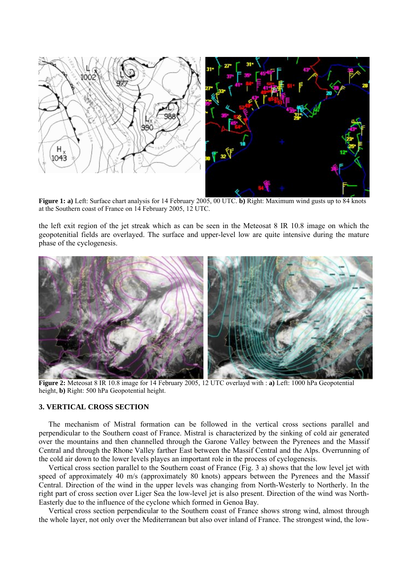

**Figure 1: a)** Left: Surface chart analysis for 14 February 2005, 00 UTC. **b)** Right: Maximum wind gusts up to 84 knots at the Southern coast of France on 14 February 2005, 12 UTC.

the left exit region of the jet streak which as can be seen in the Meteosat 8 IR 10.8 image on which the geopotenitial fields are overlayed. The surface and upper-level low are quite intensive during the mature phase of the cyclogenesis.



**Figure 2:** Meteosat 8 IR 10.8 image for 14 February 2005, 12 UTC overlayd with : **a)** Left: 1000 hPa Geopotential height, **b)** Right: 500 hPa Geopotential height.

## **3. VERTICAL CROSS SECTION**

The mechanism of Mistral formation can be followed in the vertical cross sections parallel and perpendicular to the Southern coast of France. Mistral is characterized by the sinking of cold air generated over the mountains and then channelled through the Garone Valley between the Pyrenees and the Massif Central and through the Rhone Valley farther East between the Massif Central and the Alps. Overrunning of the cold air down to the lower levels playes an important role in the process of cyclogenesis.

Vertical cross section parallel to the Southern coast of France (Fig. 3 a) shows that the low level jet with speed of approximately 40 m/s (approximately 80 knots) appears between the Pyrenees and the Massif Central. Direction of the wind in the upper levels was changing from North-Westerly to Northerly. In the right part of cross section over Liger Sea the low-level jet is also present. Direction of the wind was North-Easterly due to the influence of the cyclone which formed in Genoa Bay.

Vertical cross section perpendicular to the Southern coast of France shows strong wind, almost through the whole layer, not only over the Mediterranean but also over inland of France. The strongest wind, the low